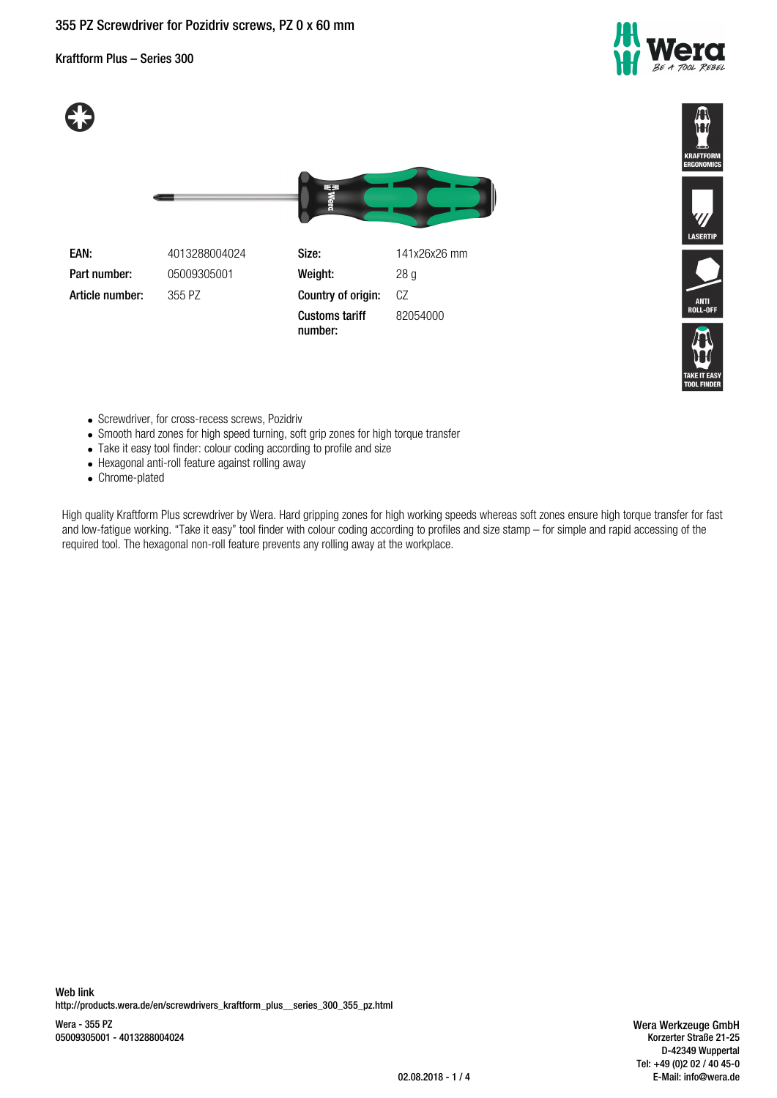# **355 PZ Screwdriver for Pozidriv screws, PZ 0 x 60 mm**

Kraftform Plus – Series 300







LASERTIF

- Screwdriver, for cross-recess screws, Pozidriv
- Smooth hard zones for high speed turning, soft grip zones for high torque transfer
- Take it easy tool finder: colour coding according to profile and size
- Hexagonal anti-roll feature against rolling away
- Chrome-plated

High quality Kraftform Plus screwdriver by Wera. Hard gripping zones for high working speeds whereas soft zones ensure high torque transfer for fast and low-fatigue working. "Take it easy" tool finder with colour coding according to profiles and size stamp – for simple and rapid accessing of the required tool. The hexagonal non-roll feature prevents any rolling away at the workplace.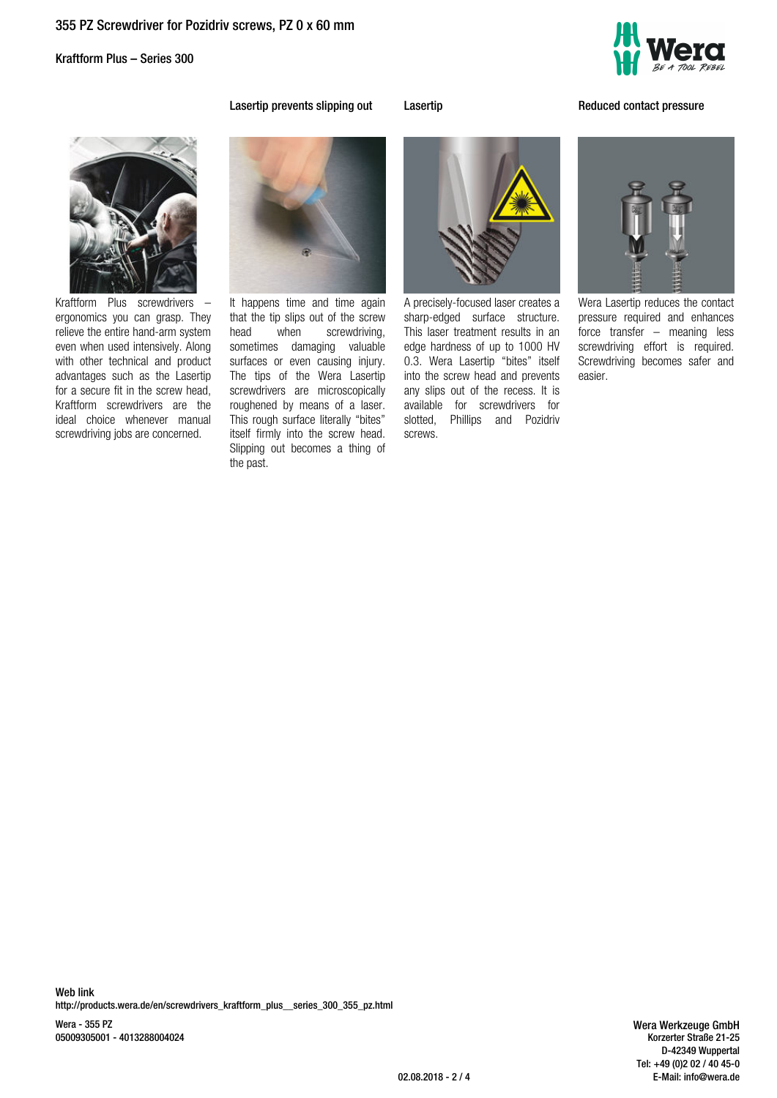Kraftform Plus – Series 300



**Lasertip prevents slipping out Lasertip Lasertip Reduced contact pressure** 



Kraftform Plus screwdrivers – ergonomics you can grasp. They relieve the entire hand-arm system even when used intensively. Along with other technical and product advantages such as the Lasertip for a secure fit in the screw head, Kraftform screwdrivers are the ideal choice whenever manual screwdriving jobs are concerned.



It happens time and time again that the tip slips out of the screw head when screwdriving, sometimes damaging valuable surfaces or even causing injury. The tips of the Wera Lasertip screwdrivers are microscopically roughened by means of a laser. This rough surface literally "bites" itself firmly into the screw head. Slipping out becomes a thing of the past.



A precisely-focused laser creates a sharp-edged surface structure. This laser treatment results in an edge hardness of up to 1000 HV 0.3. Wera Lasertip "bites" itself into the screw head and prevents any slips out of the recess. It is available for screwdrivers for slotted, Phillips and Pozidriv screws.

Wera Lasertip reduces the contact pressure required and enhances force transfer – meaning less screwdriving effort is required. Screwdriving becomes safer and easier.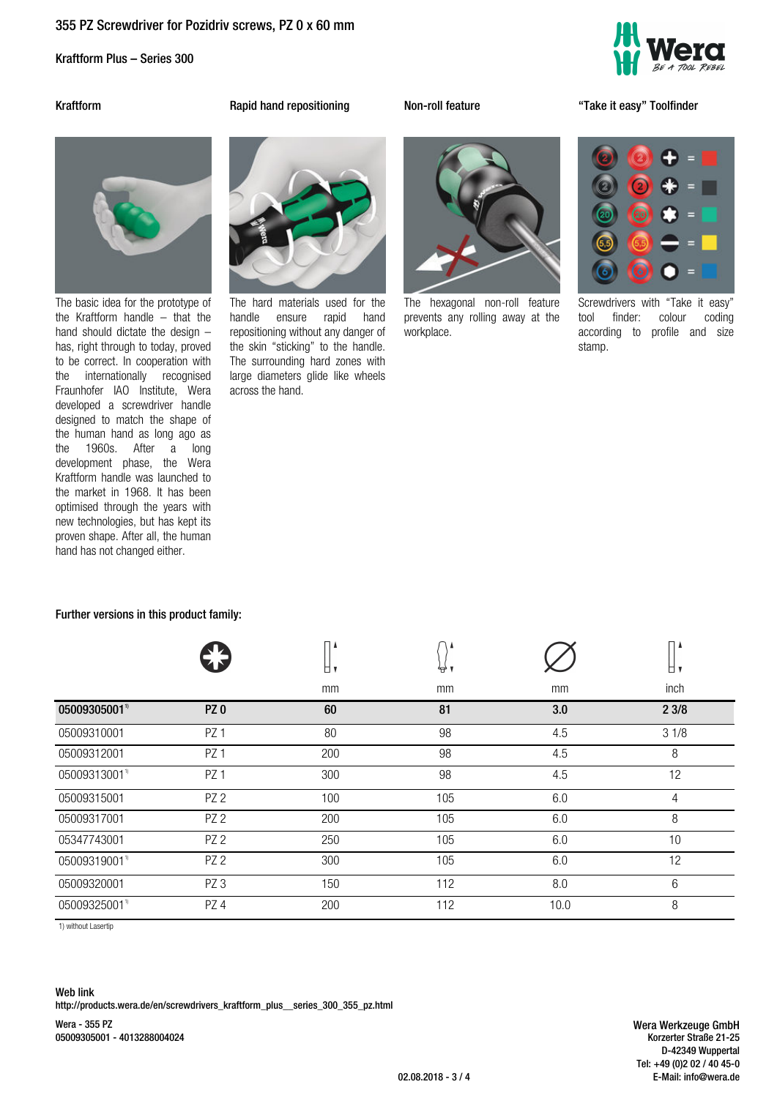# **355 PZ Screwdriver for Pozidriv screws, PZ 0 x 60 mm**

Kraftform Plus – Series 300



**Kraftform Rapid hand repositioning Non-roll feature "Take it easy" Toolfinder**



The basic idea for the prototype of the Kraftform handle – that the hand should dictate the design – has, right through to today, proved to be correct. In cooperation with the internationally recognised Fraunhofer IAO Institute, Wera developed a screwdriver handle designed to match the shape of the human hand as long ago as the 1960s. After a long development phase, the Wera Kraftform handle was launched to the market in 1968. It has been optimised through the years with new technologies, but has kept its proven shape. After all, the human hand has not changed either.

**Further versions in this product family:**



The hard materials used for the handle ensure rapid hand repositioning without any danger of the skin "sticking" to the handle. The surrounding hard zones with large diameters glide like wheels across the hand.



The hexagonal non-roll feature prevents any rolling away at the workplace.

Screwdrivers with "Take it easy" tool finder: colour coding according to profile and size stamp.

|                          |                 | u,  | ₩   |      | o,   |
|--------------------------|-----------------|-----|-----|------|------|
|                          |                 | mm  | mm  | mm   | inch |
| 05009305001 <sup>1</sup> | PZ <sub>0</sub> | 60  | 81  | 3.0  | 23/8 |
| 05009310001              | PZ <sub>1</sub> | 80  | 98  | 4.5  | 31/8 |
| 05009312001              | PZ <sub>1</sub> | 200 | 98  | 4.5  | 8    |
| 05009313001"             | PZ <sub>1</sub> | 300 | 98  | 4.5  | 12   |
| 05009315001              | PZ <sub>2</sub> | 100 | 105 | 6.0  | 4    |
| 05009317001              | PZ <sub>2</sub> | 200 | 105 | 6.0  | 8    |
| 05347743001              | PZ <sub>2</sub> | 250 | 105 | 6.0  | 10   |
| 05009319001"             | PZ <sub>2</sub> | 300 | 105 | 6.0  | 12   |
| 05009320001              | PZ <sub>3</sub> | 150 | 112 | 8.0  | 6    |
| 05009325001"             | PZ <sub>4</sub> | 200 | 112 | 10.0 | 8    |
|                          |                 |     |     |      |      |

1) without Lasertip